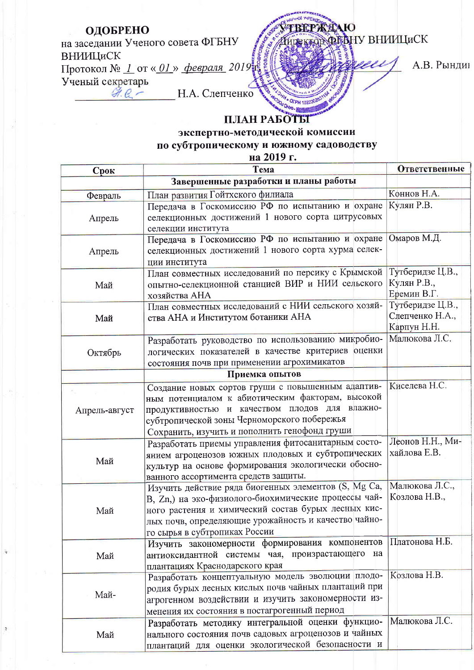## ОДОБРЕНО ВЕРЖДАЮ REKTOR OF BHY BHUILLUCK на заседании Ученого совета ФГБНУ ВНИИЦиСК Протокол № 1 от « $01$ » февраля 2019

А.В. Рындин

Ученый секретарь  $94.6-$ 

Н.А. Слепченко

## ПЛАН РАБОТЫ

OFPH 10223 **U OHNO** 

экспертно-методической комиссии

по субтропическому и южному садоводству

на 2019 г.

| Срок           | Тема<br>Завершенные разработки и планы работы                                                                                                                                                                                                                | Ответственные                                      |  |  |
|----------------|--------------------------------------------------------------------------------------------------------------------------------------------------------------------------------------------------------------------------------------------------------------|----------------------------------------------------|--|--|
|                |                                                                                                                                                                                                                                                              |                                                    |  |  |
| Февраль        | План развития Гойтхского филиала                                                                                                                                                                                                                             | Коннов Н.А.                                        |  |  |
| Апрель         | Передача в Госкомиссию РФ по испытанию и охране<br>селекционных достижений 1 нового сорта цитрусовых<br>селекции института                                                                                                                                   | Кулян Р.В.                                         |  |  |
| Апрель         | Передача в Госкомиссию РФ по испытанию и охране<br>селекционных достижений 1 нового сорта хурма селек-<br>ции института                                                                                                                                      | Омаров М.Д.                                        |  |  |
| Май            | План совместных исследований по персику с Крымской<br>опытно-селекционной станцией ВИР и НИИ сельского<br>хозяйства АНА                                                                                                                                      | Тутберидзе Ц.В.,<br>Кулян Р.В.,<br>Еремин В.Г.     |  |  |
| Май            | План совместных исследований с НИИ сельского хозяй-<br>ства АНА и Институтом ботаники АНА                                                                                                                                                                    | Тутберидзе Ц.В.,<br>Слепченко Н.А.,<br>Карпун Н.Н. |  |  |
| Октябрь        | Разработать руководство по использованию микробио-<br>логических показателей в качестве критериев оценки<br>состояния почв при применении агрохимикатов                                                                                                      | Малюкова Л.С.                                      |  |  |
| Приемка опытов |                                                                                                                                                                                                                                                              |                                                    |  |  |
| Апрель-август  | Создание новых сортов груши с повышенным адаптив-<br>ным потенциалом к абиотическим факторам, высокой<br>продуктивностью и качеством плодов для влажно-<br>субтропической зоны Черноморского побережья<br>Сохранить, изучить и пополнить генофонд груши      | Киселева Н.С.                                      |  |  |
| Май            | Разработать приемы управления фитосанитарным состо-<br>янием агроценозов южных плодовых и субтропических<br>культур на основе формирования экологически обосно-<br>ванного ассортимента средств защиты.                                                      | Леонов Н.Н., Ми-<br>хайлова Е.В.                   |  |  |
| Май            | Изучить действие ряда биогенных элементов (S, Mg Ca,<br>В, Zn,) на эко-физиолого-биохимические процессы чай-<br>ного растения и химический состав бурых лесных кис-<br>лых почв, определяющие урожайность и качество чайно-<br>го сырья в субтропиках России | Малюкова Л.С.,<br>Козлова Н.В.,                    |  |  |
| Май            | Изучить закономерности формирования компонентов<br>антиоксидантной системы чая, произрастающего на<br>плантациях Краснодарского края                                                                                                                         | Платонова Н.Б.                                     |  |  |
| Май-           | Разработать концептуальную модель эволюции плодо-<br>родия бурых лесных кислых почв чайных плантаций при<br>агрогенном воздействии и изучить закономерности из-<br>менения их состояния в постагрогенный период                                              | Козлова Н.В.                                       |  |  |
| Май            | Разработать методику интегральной оценки функцио-<br>нального состояния почв садовых агроценозов и чайных<br>плантаций для оценки экологической безопасности и                                                                                               | Малюкова Л.С.                                      |  |  |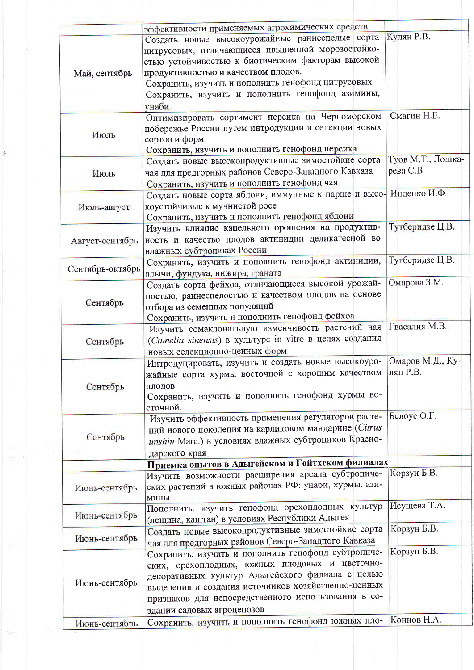|                  | эффективности применяемых агрохимических средств                  |                   |
|------------------|-------------------------------------------------------------------|-------------------|
|                  | Создать новые высокоурожайные раннеспелые сорта                   | Кулян Р.В.        |
|                  | цитрусовых, отличающиеся пвышенной морозостойко-                  |                   |
|                  | стью устойчивостью к биотическим факторам высокой                 |                   |
| Май, сентябрь    | продуктивностью и качеством плодов.                               |                   |
|                  | Сохранить, изучить и пополнить генофонд цитрусовых                |                   |
|                  | Сохранить, изучить и пополнить генофонд азимины,                  |                   |
|                  | унаби.                                                            |                   |
|                  | Оптимизировать сортимент персика на Черноморском                  | Смагин Н.Е.       |
|                  | побережье России путем интродукции и селекции новых               |                   |
| Июль             | сортов и форм                                                     |                   |
|                  | Сохранить, изучить и пополнить генофонд персика                   |                   |
|                  | Создать новые высокопродуктивные зимостойкие сорта                | Туов М.Т., Лошка- |
| Июль             | чая для предгорных районов Северо-Западного Кавказа               | рева С.В.         |
|                  | Сохранить, изучить и пополнить генофонд чая                       |                   |
|                  | Создать новые сорта яблони, иммунные к парше и высо- Инденко И.Ф. |                   |
| Июль-август      | коустойчивые к мучнистой росе                                     |                   |
|                  | Сохранить, изучить и пополнить генофонд яблони                    |                   |
|                  | Изучить влияние капельного орошения на продуктив-                 | Тутберидзе Ц.В.   |
| Август-сентябрь  | ность и качество плодов актинидии деликатесной во                 |                   |
|                  | влажных субтропиках России                                        |                   |
|                  | Сохранить, изучить и пополнить генофонд актинидии,                | Тутберидзе Ц.В.   |
| Сентябрь-октябрь | алычи, фундука, инжира, граната                                   |                   |
|                  | Создать сорта фейхоа, отличающиеся высокой урожай-                | Омарова З.М.      |
|                  | ностью, раннеспелостью и качеством плодов на основе               |                   |
| Сентябрь         | отбора из семенных популяций                                      |                   |
|                  | Сохранить, изучить и пополнить генофонд фейхоа                    |                   |
|                  | Изучить сомаклональную изменчивость растений чая                  | Гвасалия М.В.     |
| Сентябрь         | (Camelia sinensis) в культуре in vitro в целях создания           |                   |
|                  | новых селекционно-ценных форм                                     |                   |
|                  | Интродуцировать, изучить и создать новые высокоуро-               | Омаров М.Д., Ку-  |
|                  | жайные сорта хурмы восточной с хорошим качеством                  | лян Р.В.          |
| Сентябрь         | плодов                                                            |                   |
|                  | Сохранить, изучить и пополнить генофонд хурмы во-                 |                   |
|                  | сточной.                                                          |                   |
|                  | Изучить эффективность применения регуляторов расте-               | Белоус О.Г.       |
| Сентябрь         | ний нового поколения на карликовом мандарине (Citrus              |                   |
|                  | unshiu Marc.) в условиях влажных субтропиков Красно-              |                   |
|                  | дарского края                                                     |                   |
|                  | Приемка опытов в Адыгейском и Гойтхском филиалах                  |                   |
|                  | Изучить возможности расширения ареала субтропиче-                 | Корзун Б.В.       |
| Июнь-сентябрь    | ских растений в южных районах РФ: унаби, хурмы, ази-              |                   |
|                  | МИНЫ                                                              |                   |
| Июнь-сентябрь    | Пополнить, изучить генофонд орехоплодных культур                  | Исущева Т.А.      |
|                  | (лещина, каштан) в условиях Республики Адыгея                     |                   |
| Июнь-сентябрь    | Создать новые высокопродуктивные зимостойкие сорта                | Корзун Б.В.       |
|                  | чая для предгорных районов Северо-Западного Кавказа               |                   |
| Июнь-сентябрь    | Сохранить, изучить и пополнить генофонд субтропиче-               | Корзун Б.В.       |
|                  | ских, орехоплодных, южных плодовых и цветочно-                    |                   |
|                  | декоративных культур Адыгейского филиала с целью                  |                   |
|                  | выделения и создания источников хозяйственно-ценных               |                   |
|                  | признаков для непосредственного использования в со-               |                   |
|                  | здании садовых агроценозов                                        |                   |
| Июнь-сентябрь    | Сохранить, изучить и пополнить генофонд южных пло-                | Коннов Н.А.       |